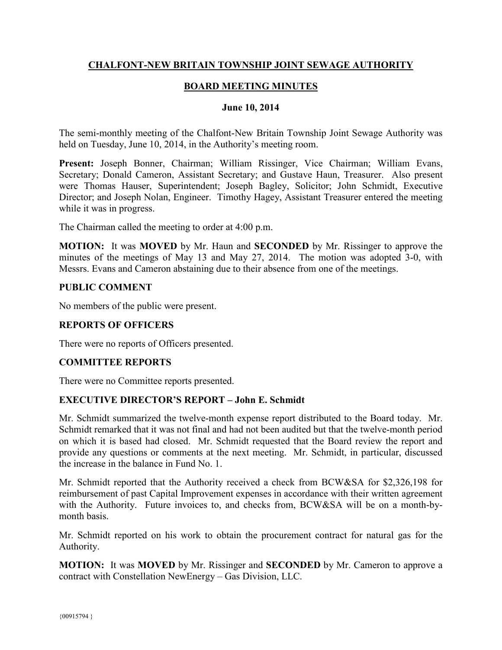# **CHALFONT-NEW BRITAIN TOWNSHIP JOINT SEWAGE AUTHORITY**

# **BOARD MEETING MINUTES**

#### **June 10, 2014**

The semi-monthly meeting of the Chalfont-New Britain Township Joint Sewage Authority was held on Tuesday, June 10, 2014, in the Authority's meeting room.

**Present:** Joseph Bonner, Chairman; William Rissinger, Vice Chairman; William Evans, Secretary; Donald Cameron, Assistant Secretary; and Gustave Haun, Treasurer. Also present were Thomas Hauser, Superintendent; Joseph Bagley, Solicitor; John Schmidt, Executive Director; and Joseph Nolan, Engineer. Timothy Hagey, Assistant Treasurer entered the meeting while it was in progress.

The Chairman called the meeting to order at 4:00 p.m.

**MOTION:** It was **MOVED** by Mr. Haun and **SECONDED** by Mr. Rissinger to approve the minutes of the meetings of May 13 and May 27, 2014. The motion was adopted 3-0, with Messrs. Evans and Cameron abstaining due to their absence from one of the meetings.

#### **PUBLIC COMMENT**

No members of the public were present.

# **REPORTS OF OFFICERS**

There were no reports of Officers presented.

## **COMMITTEE REPORTS**

There were no Committee reports presented.

## **EXECUTIVE DIRECTOR'S REPORT – John E. Schmidt**

Mr. Schmidt summarized the twelve-month expense report distributed to the Board today. Mr. Schmidt remarked that it was not final and had not been audited but that the twelve-month period on which it is based had closed. Mr. Schmidt requested that the Board review the report and provide any questions or comments at the next meeting. Mr. Schmidt, in particular, discussed the increase in the balance in Fund No. 1.

Mr. Schmidt reported that the Authority received a check from BCW&SA for \$2,326,198 for reimbursement of past Capital Improvement expenses in accordance with their written agreement with the Authority. Future invoices to, and checks from, BCW&SA will be on a month-bymonth basis.

Mr. Schmidt reported on his work to obtain the procurement contract for natural gas for the Authority.

**MOTION:** It was **MOVED** by Mr. Rissinger and **SECONDED** by Mr. Cameron to approve a contract with Constellation NewEnergy – Gas Division, LLC.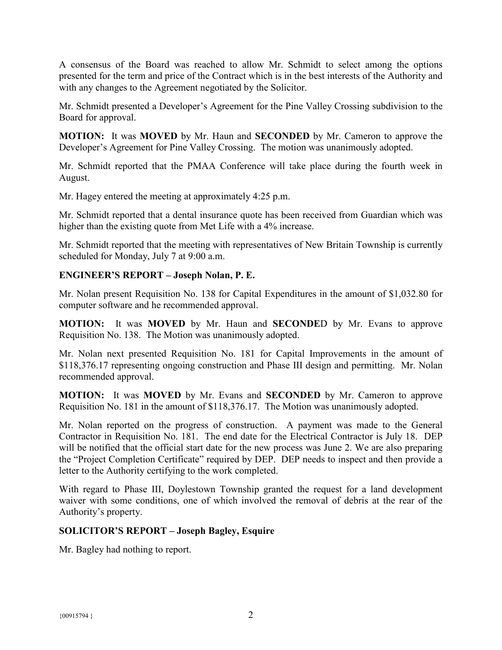A consensus of the Board was reached to allow Mr. Schmidt to select among the options presented for the term and price of the Contract which is in the best interests of the Authority and with any changes to the Agreement negotiated by the Solicitor.

Mr. Schmidt presented a Developer's Agreement for the Pine Valley Crossing subdivision to the Board for approval.

**MOTION:** It was **MOVED** by Mr. Haun and **SECONDED** by Mr. Cameron to approve the Developer's Agreement for Pine Valley Crossing. The motion was unanimously adopted.

Mr. Schmidt reported that the PMAA Conference will take place during the fourth week in August.

Mr. Hagey entered the meeting at approximately 4:25 p.m.

Mr. Schmidt reported that a dental insurance quote has been received from Guardian which was higher than the existing quote from Met Life with a 4% increase.

Mr. Schmidt reported that the meeting with representatives of New Britain Township is currently scheduled for Monday, July 7 at 9:00 a.m.

## **ENGINEER'S REPORT – Joseph Nolan, P. E.**

Mr. Nolan present Requisition No. 138 for Capital Expenditures in the amount of \$1,032.80 for computer software and he recommended approval.

**MOTION:** It was **MOVED** by Mr. Haun and **SECONDE**D by Mr. Evans to approve Requisition No. 138. The Motion was unanimously adopted.

Mr. Nolan next presented Requisition No. 181 for Capital Improvements in the amount of \$118,376.17 representing ongoing construction and Phase III design and permitting. Mr. Nolan recommended approval.

**MOTION:** It was **MOVED** by Mr. Evans and **SECONDED** by Mr. Cameron to approve Requisition No. 181 in the amount of \$118,376.17. The Motion was unanimously adopted.

Mr. Nolan reported on the progress of construction. A payment was made to the General Contractor in Requisition No. 181. The end date for the Electrical Contractor is July 18. DEP will be notified that the official start date for the new process was June 2. We are also preparing the "Project Completion Certificate" required by DEP. DEP needs to inspect and then provide a letter to the Authority certifying to the work completed.

With regard to Phase III, Doylestown Township granted the request for a land development waiver with some conditions, one of which involved the removal of debris at the rear of the Authority's property.

## **SOLICITOR'S REPORT – Joseph Bagley, Esquire**

Mr. Bagley had nothing to report.